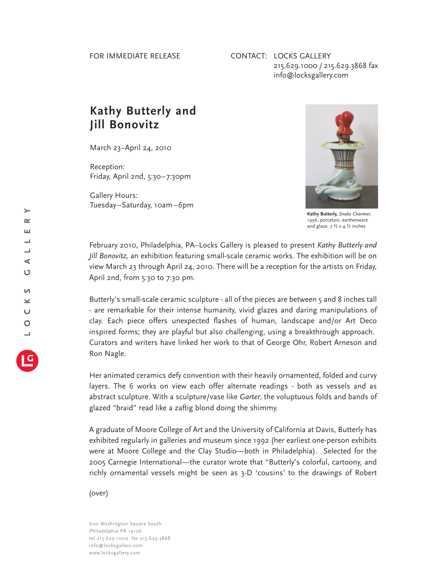## CONTACT: LOCKS GALLERY 215.629.1000 / 215.629.3868 fax info@locksgallery.com

## **Kathy Butterly and Jill Bonovitz**

March 23–April 24, 2010

Reception: Friday, April 2nd, 5:30–7:30pm

Gallery Hours: Tuesday–Saturday, 10am–6pm



**Kathy Butterly,** *Snake Charmer,* 1996, porcelain, earthenware and glaze,  $7 \frac{1}{2} \times 4 \frac{1}{2}$  inches

February 2010, Philadelphia, PA–Locks Gallery is pleased to present *Kathy Butterly and Jill Bonovitz,* an exhibition featuring small-scale ceramic works*.* The exhibition will be on view March 23 through April 24, 2010. There will be a reception for the artists on Friday, April 2nd, from 5:30 to 7:30 pm.

Butterly's small-scale ceramic sculpture - all of the pieces are between 5 and 8 inches tall - are remarkable for their intense humanity, vivid glazes and daring manipulations of clay. Each piece offers unexpected flashes of human, landscape and/or Art Deco inspired forms; they are playful but also challenging, using a breakthrough approach. Curators and writers have linked her work to that of George Ohr, Robert Arneson and Ron Nagle.

Her animated ceramics defy convention with their heavily ornamented, folded and curvy layers. The 6 works on view each offer alternate readings - both as vessels and as abstract sculpture. With a sculpture/vase like *Garter*, the voluptuous folds and bands of glazed "braid" read like a zaftig blond doing the shimmy.

A graduate of Moore College of Art and the University of California at Davis, Butterly has exhibited regularly in galleries and museum since 1992 (her earliest one-person exhibits were at Moore College and the Clay Studio—both in Philadelphia). Selected for the 2005 Carnegie International—the curator wrote that "Butterly's colorful, cartoony, and richly ornamental vessels might be seen as 3-D 'cousins' to the drawings of Robert

(over)

600 Washington Square South Philadelphia PA 19106 tel 215.629.1000 fax 215.629.3868 info@locksgallery.com www.locksgallery.com